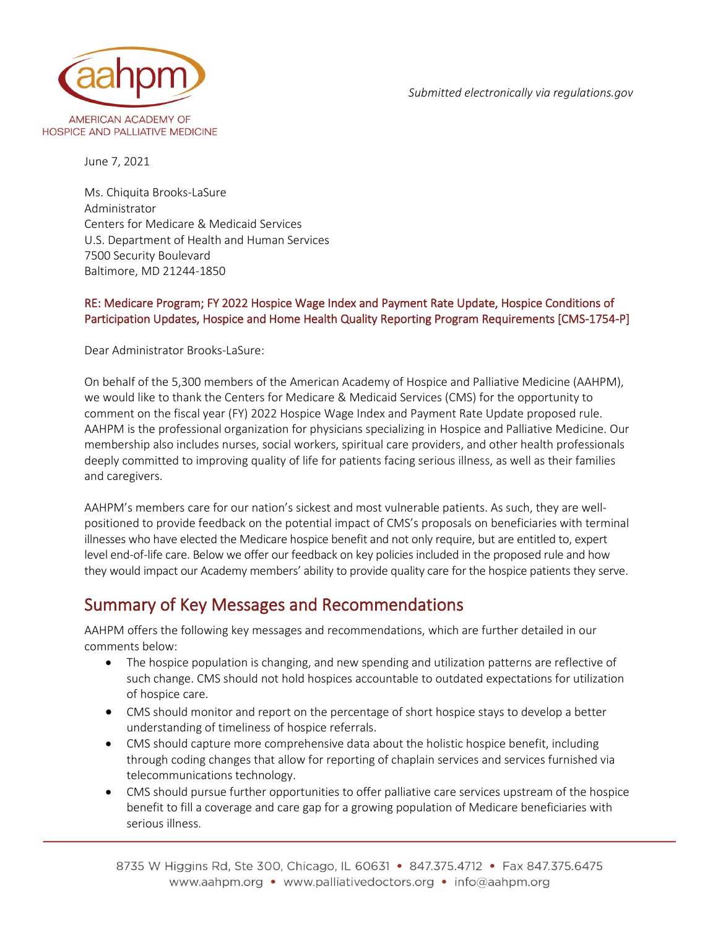*Submitted electronically via regulations.gov*



June 7, 2021

Ms. Chiquita Brooks-LaSure Administrator Centers for Medicare & Medicaid Services U.S. Department of Health and Human Services 7500 Security Boulevard Baltimore, MD 21244-1850

#### RE: Medicare Program; FY 2022 Hospice Wage Index and Payment Rate Update, Hospice Conditions of Participation Updates, Hospice and Home Health Quality Reporting Program Requirements [CMS-1754-P]

Dear Administrator Brooks-LaSure:

On behalf of the 5,300 members of the American Academy of Hospice and Palliative Medicine (AAHPM), we would like to thank the Centers for Medicare & Medicaid Services (CMS) for the opportunity to comment on the fiscal year (FY) 2022 Hospice Wage Index and Payment Rate Update proposed rule. AAHPM is the professional organization for physicians specializing in Hospice and Palliative Medicine. Our membership also includes nurses, social workers, spiritual care providers, and other health professionals deeply committed to improving quality of life for patients facing serious illness, as well as their families and caregivers.

AAHPM's members care for our nation's sickest and most vulnerable patients. As such, they are wellpositioned to provide feedback on the potential impact of CMS's proposals on beneficiaries with terminal illnesses who have elected the Medicare hospice benefit and not only require, but are entitled to, expert level end-of-life care. Below we offer our feedback on key policies included in the proposed rule and how they would impact our Academy members' ability to provide quality care for the hospice patients they serve.

### Summary of Key Messages and Recommendations

AAHPM offers the following key messages and recommendations, which are further detailed in our comments below:

- The hospice population is changing, and new spending and utilization patterns are reflective of such change. CMS should not hold hospices accountable to outdated expectations for utilization of hospice care.
- CMS should monitor and report on the percentage of short hospice stays to develop a better understanding of timeliness of hospice referrals.
- CMS should capture more comprehensive data about the holistic hospice benefit, including through coding changes that allow for reporting of chaplain services and services furnished via telecommunications technology.
- CMS should pursue further opportunities to offer palliative care services upstream of the hospice benefit to fill a coverage and care gap for a growing population of Medicare beneficiaries with serious illness.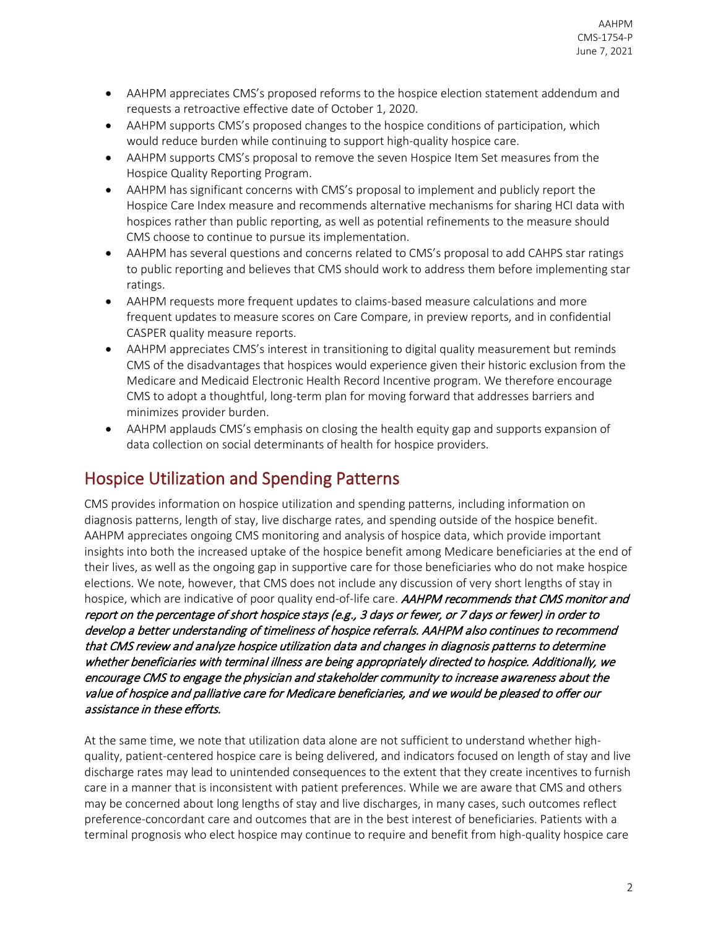- AAHPM appreciates CMS's proposed reforms to the hospice election statement addendum and requests a retroactive effective date of October 1, 2020.
- AAHPM supports CMS's proposed changes to the hospice conditions of participation, which would reduce burden while continuing to support high-quality hospice care.
- AAHPM supports CMS's proposal to remove the seven Hospice Item Set measures from the Hospice Quality Reporting Program.
- AAHPM has significant concerns with CMS's proposal to implement and publicly report the Hospice Care Index measure and recommends alternative mechanisms for sharing HCI data with hospices rather than public reporting, as well as potential refinements to the measure should CMS choose to continue to pursue its implementation.
- AAHPM has several questions and concerns related to CMS's proposal to add CAHPS star ratings to public reporting and believes that CMS should work to address them before implementing star ratings.
- AAHPM requests more frequent updates to claims-based measure calculations and more frequent updates to measure scores on Care Compare, in preview reports, and in confidential CASPER quality measure reports.
- AAHPM appreciates CMS's interest in transitioning to digital quality measurement but reminds CMS of the disadvantages that hospices would experience given their historic exclusion from the Medicare and Medicaid Electronic Health Record Incentive program. We therefore encourage CMS to adopt a thoughtful, long-term plan for moving forward that addresses barriers and minimizes provider burden.
- AAHPM applauds CMS's emphasis on closing the health equity gap and supports expansion of data collection on social determinants of health for hospice providers.

## Hospice Utilization and Spending Patterns

CMS provides information on hospice utilization and spending patterns, including information on diagnosis patterns, length of stay, live discharge rates, and spending outside of the hospice benefit. AAHPM appreciates ongoing CMS monitoring and analysis of hospice data, which provide important insights into both the increased uptake of the hospice benefit among Medicare beneficiaries at the end of their lives, as well as the ongoing gap in supportive care for those beneficiaries who do not make hospice elections. We note, however, that CMS does not include any discussion of very short lengths of stay in hospice, which are indicative of poor quality end-of-life care. AAHPM recommends that CMS monitor and report on the percentage of short hospice stays (e.g., 3 days or fewer, or 7 days or fewer) in order to develop a better understanding of timeliness of hospice referrals. AAHPM also continues to recommend that CMS review and analyze hospice utilization data and changes in diagnosis patterns to determine whether beneficiaries with terminal illness are being appropriately directed to hospice. Additionally, we encourage CMS to engage the physician and stakeholder community to increase awareness about the value of hospice and palliative care for Medicare beneficiaries, and we would be pleased to offer our assistance in these efforts.

At the same time, we note that utilization data alone are not sufficient to understand whether highquality, patient-centered hospice care is being delivered, and indicators focused on length of stay and live discharge rates may lead to unintended consequences to the extent that they create incentives to furnish care in a manner that is inconsistent with patient preferences. While we are aware that CMS and others may be concerned about long lengths of stay and live discharges, in many cases, such outcomes reflect preference-concordant care and outcomes that are in the best interest of beneficiaries. Patients with a terminal prognosis who elect hospice may continue to require and benefit from high-quality hospice care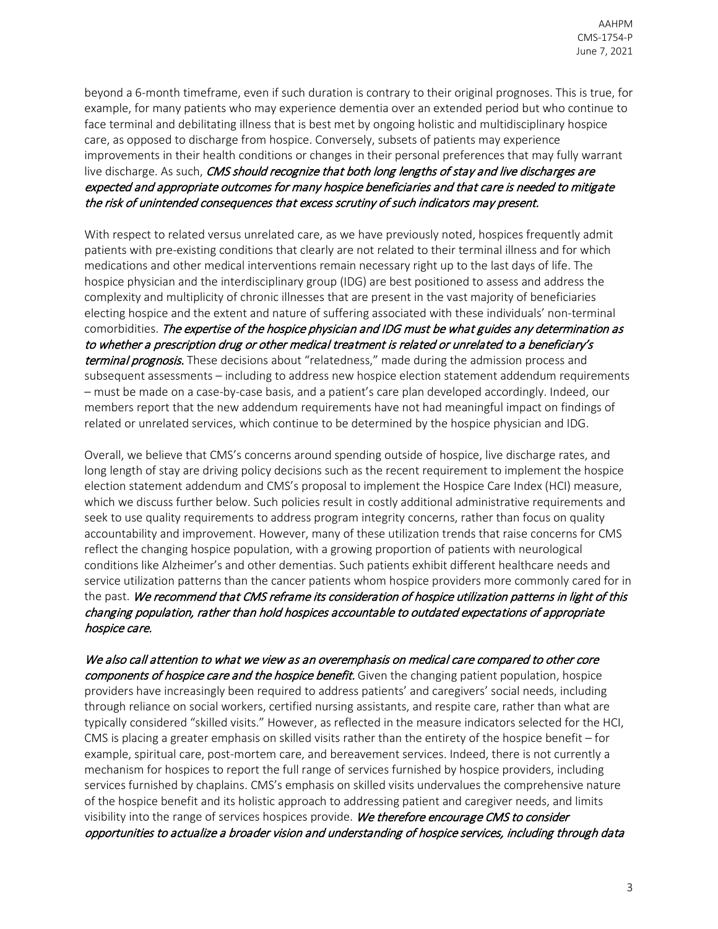beyond a 6-month timeframe, even if such duration is contrary to their original prognoses. This is true, for example, for many patients who may experience dementia over an extended period but who continue to face terminal and debilitating illness that is best met by ongoing holistic and multidisciplinary hospice care, as opposed to discharge from hospice. Conversely, subsets of patients may experience improvements in their health conditions or changes in their personal preferences that may fully warrant live discharge. As such, CMS should recognize that both long lengths of stay and live discharges are expected and appropriate outcomes for many hospice beneficiaries and that care is needed to mitigate the risk of unintended consequences that excess scrutiny of such indicators may present.

With respect to related versus unrelated care, as we have previously noted, hospices frequently admit patients with pre-existing conditions that clearly are not related to their terminal illness and for which medications and other medical interventions remain necessary right up to the last days of life. The hospice physician and the interdisciplinary group (IDG) are best positioned to assess and address the complexity and multiplicity of chronic illnesses that are present in the vast majority of beneficiaries electing hospice and the extent and nature of suffering associated with these individuals' non-terminal comorbidities. The expertise of the hospice physician and IDG must be what guides any determination as to whether a prescription drug or other medical treatment is related or unrelated to a beneficiary's terminal prognosis. These decisions about "relatedness," made during the admission process and subsequent assessments – including to address new hospice election statement addendum requirements – must be made on a case-by-case basis, and a patient's care plan developed accordingly. Indeed, our members report that the new addendum requirements have not had meaningful impact on findings of related or unrelated services, which continue to be determined by the hospice physician and IDG.

Overall, we believe that CMS's concerns around spending outside of hospice, live discharge rates, and long length of stay are driving policy decisions such as the recent requirement to implement the hospice election statement addendum and CMS's proposal to implement the Hospice Care Index (HCI) measure, which we discuss further below. Such policies result in costly additional administrative requirements and seek to use quality requirements to address program integrity concerns, rather than focus on quality accountability and improvement. However, many of these utilization trends that raise concerns for CMS reflect the changing hospice population, with a growing proportion of patients with neurological conditions like Alzheimer's and other dementias. Such patients exhibit different healthcare needs and service utilization patterns than the cancer patients whom hospice providers more commonly cared for in the past. We recommend that CMS reframe its consideration of hospice utilization patterns in light of this changing population, rather than hold hospices accountable to outdated expectations of appropriate hospice care.

We also call attention to what we view as an overemphasis on medical care compared to other core components of hospice care and the hospice benefit. Given the changing patient population, hospice providers have increasingly been required to address patients' and caregivers' social needs, including through reliance on social workers, certified nursing assistants, and respite care, rather than what are typically considered "skilled visits." However, as reflected in the measure indicators selected for the HCI, CMS is placing a greater emphasis on skilled visits rather than the entirety of the hospice benefit – for example, spiritual care, post-mortem care, and bereavement services. Indeed, there is not currently a mechanism for hospices to report the full range of services furnished by hospice providers, including services furnished by chaplains. CMS's emphasis on skilled visits undervalues the comprehensive nature of the hospice benefit and its holistic approach to addressing patient and caregiver needs, and limits visibility into the range of services hospices provide. We therefore encourage CMS to consider opportunities to actualize a broader vision and understanding of hospice services, including through data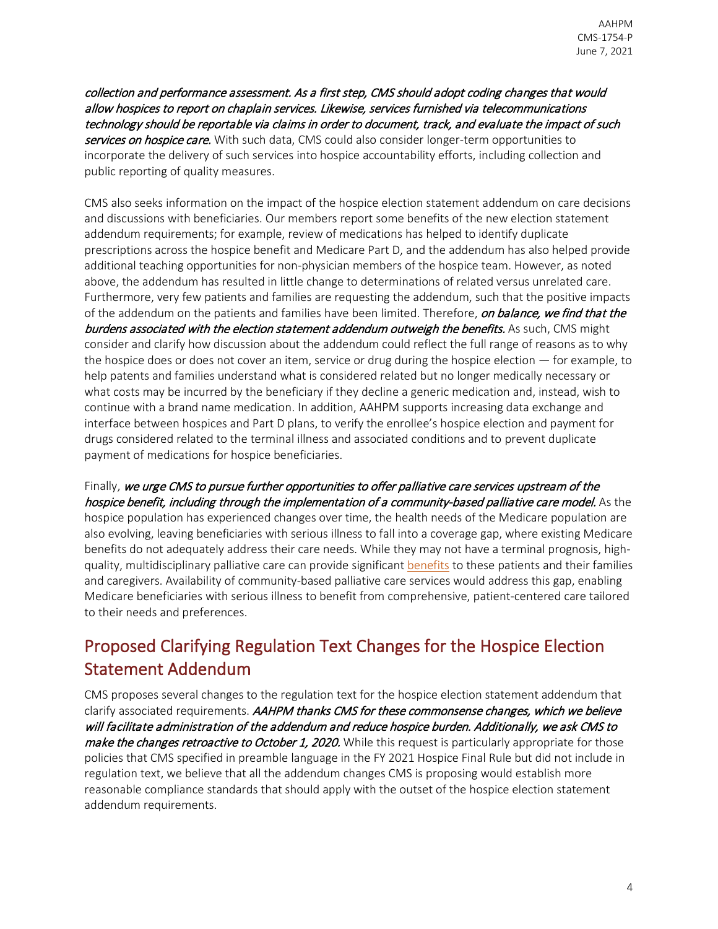collection and performance assessment. As a first step, CMS should adopt coding changes that would allow hospices to report on chaplain services. Likewise, services furnished via telecommunications technology should be reportable via claims in order to document, track, and evaluate the impact of such services on hospice care. With such data, CMS could also consider longer-term opportunities to incorporate the delivery of such services into hospice accountability efforts, including collection and public reporting of quality measures.

CMS also seeks information on the impact of the hospice election statement addendum on care decisions and discussions with beneficiaries. Our members report some benefits of the new election statement addendum requirements; for example, review of medications has helped to identify duplicate prescriptions across the hospice benefit and Medicare Part D, and the addendum has also helped provide additional teaching opportunities for non-physician members of the hospice team. However, as noted above, the addendum has resulted in little change to determinations of related versus unrelated care. Furthermore, very few patients and families are requesting the addendum, such that the positive impacts of the addendum on the patients and families have been limited. Therefore, on balance, we find that the burdens associated with the election statement addendum outweigh the benefits. As such, CMS might consider and clarify how discussion about the addendum could reflect the full range of reasons as to why the hospice does or does not cover an item, service or drug during the hospice election — for example, to help patents and families understand what is considered related but no longer medically necessary or what costs may be incurred by the beneficiary if they decline a generic medication and, instead, wish to continue with a brand name medication. In addition, AAHPM supports increasing data exchange and interface between hospices and Part D plans, to verify the enrollee's hospice election and payment for drugs considered related to the terminal illness and associated conditions and to prevent duplicate payment of medications for hospice beneficiaries.

Finally, we urge CMS to pursue further opportunities to offer palliative care services upstream of the hospice benefit, including through the implementation of a community-based palliative care model. As the hospice population has experienced changes over time, the health needs of the Medicare population are also evolving, leaving beneficiaries with serious illness to fall into a coverage gap, where existing Medicare benefits do not adequately address their care needs. While they may not have a terminal prognosis, highquality, multidisciplinary palliative care can provide significan[t benefits](http://aahpm.org/uploads/advocacy/The_Evidence_for_High-Quality_Palliative_Care.pdf) to these patients and their families and caregivers. Availability of community-based palliative care services would address this gap, enabling Medicare beneficiaries with serious illness to benefit from comprehensive, patient-centered care tailored to their needs and preferences.

# Proposed Clarifying Regulation Text Changes for the Hospice Election Statement Addendum

CMS proposes several changes to the regulation text for the hospice election statement addendum that clarify associated requirements. AAHPM thanks CMS for these commonsense changes, which we believe will facilitate administration of the addendum and reduce hospice burden. Additionally, we ask CMS to make the changes retroactive to October 1, 2020. While this request is particularly appropriate for those policies that CMS specified in preamble language in the FY 2021 Hospice Final Rule but did not include in regulation text, we believe that all the addendum changes CMS is proposing would establish more reasonable compliance standards that should apply with the outset of the hospice election statement addendum requirements.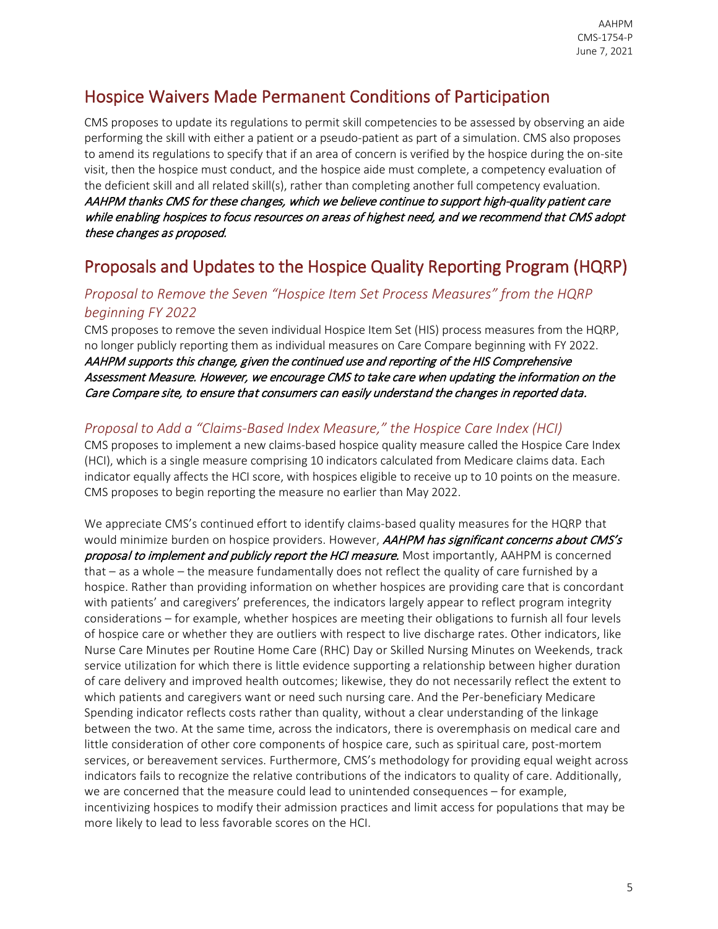## Hospice Waivers Made Permanent Conditions of Participation

CMS proposes to update its regulations to permit skill competencies to be assessed by observing an aide performing the skill with either a patient or a pseudo-patient as part of a simulation. CMS also proposes to amend its regulations to specify that if an area of concern is verified by the hospice during the on-site visit, then the hospice must conduct, and the hospice aide must complete, a competency evaluation of the deficient skill and all related skill(s), rather than completing another full competency evaluation. AAHPM thanks CMS for these changes, which we believe continue to support high-quality patient care while enabling hospices to focus resources on areas of highest need, and we recommend that CMS adopt these changes as proposed.

## Proposals and Updates to the Hospice Quality Reporting Program (HQRP)

#### *Proposal to Remove the Seven "Hospice Item Set Process Measures" from the HQRP beginning FY 2022*

CMS proposes to remove the seven individual Hospice Item Set (HIS) process measures from the HQRP, no longer publicly reporting them as individual measures on Care Compare beginning with FY 2022. AAHPM supports this change, given the continued use and reporting of the HIS Comprehensive Assessment Measure. However, we encourage CMS to take care when updating the information on the Care Compare site, to ensure that consumers can easily understand the changes in reported data.

### *Proposal to Add a "Claims-Based Index Measure," the Hospice Care Index (HCI)*

CMS proposes to implement a new claims-based hospice quality measure called the Hospice Care Index (HCI), which is a single measure comprising 10 indicators calculated from Medicare claims data. Each indicator equally affects the HCI score, with hospices eligible to receive up to 10 points on the measure. CMS proposes to begin reporting the measure no earlier than May 2022.

We appreciate CMS's continued effort to identify claims-based quality measures for the HQRP that would minimize burden on hospice providers. However, AAHPM has significant concerns about CMS's proposal to implement and publicly report the HCI measure. Most importantly, AAHPM is concerned that – as a whole – the measure fundamentally does not reflect the quality of care furnished by a hospice. Rather than providing information on whether hospices are providing care that is concordant with patients' and caregivers' preferences, the indicators largely appear to reflect program integrity considerations – for example, whether hospices are meeting their obligations to furnish all four levels of hospice care or whether they are outliers with respect to live discharge rates. Other indicators, like Nurse Care Minutes per Routine Home Care (RHC) Day or Skilled Nursing Minutes on Weekends, track service utilization for which there is little evidence supporting a relationship between higher duration of care delivery and improved health outcomes; likewise, they do not necessarily reflect the extent to which patients and caregivers want or need such nursing care. And the Per-beneficiary Medicare Spending indicator reflects costs rather than quality, without a clear understanding of the linkage between the two. At the same time, across the indicators, there is overemphasis on medical care and little consideration of other core components of hospice care, such as spiritual care, post-mortem services, or bereavement services. Furthermore, CMS's methodology for providing equal weight across indicators fails to recognize the relative contributions of the indicators to quality of care. Additionally, we are concerned that the measure could lead to unintended consequences – for example, incentivizing hospices to modify their admission practices and limit access for populations that may be more likely to lead to less favorable scores on the HCI.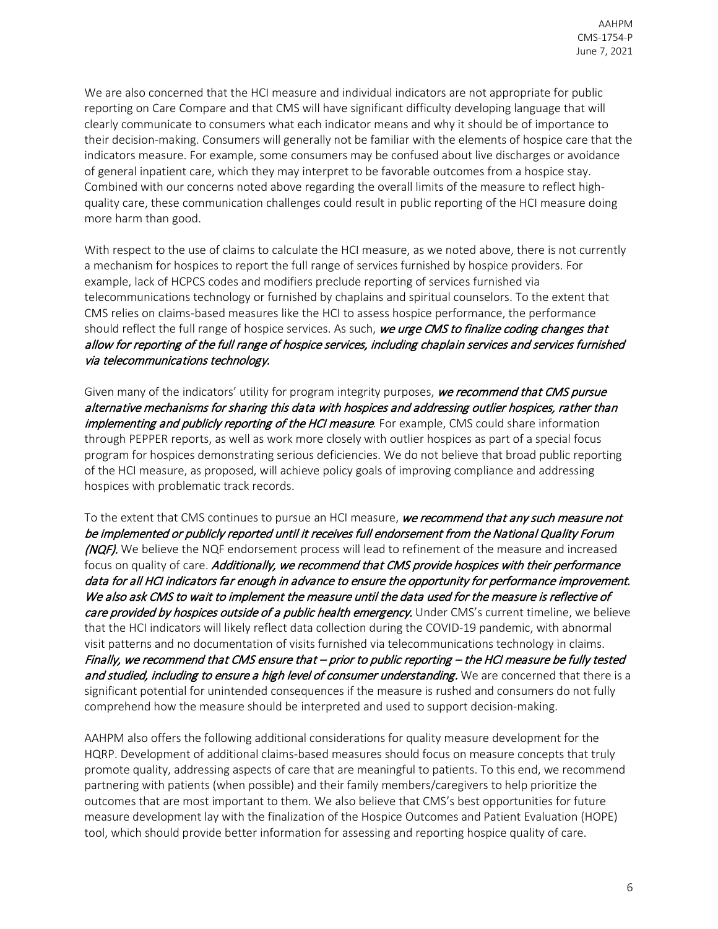We are also concerned that the HCI measure and individual indicators are not appropriate for public reporting on Care Compare and that CMS will have significant difficulty developing language that will clearly communicate to consumers what each indicator means and why it should be of importance to their decision-making. Consumers will generally not be familiar with the elements of hospice care that the indicators measure. For example, some consumers may be confused about live discharges or avoidance of general inpatient care, which they may interpret to be favorable outcomes from a hospice stay. Combined with our concerns noted above regarding the overall limits of the measure to reflect highquality care, these communication challenges could result in public reporting of the HCI measure doing more harm than good.

With respect to the use of claims to calculate the HCI measure, as we noted above, there is not currently a mechanism for hospices to report the full range of services furnished by hospice providers. For example, lack of HCPCS codes and modifiers preclude reporting of services furnished via telecommunications technology or furnished by chaplains and spiritual counselors. To the extent that CMS relies on claims-based measures like the HCI to assess hospice performance, the performance should reflect the full range of hospice services. As such, we urge CMS to finalize coding changes that allow for reporting of the full range of hospice services, including chaplain services and services furnished via telecommunications technology.

Given many of the indicators' utility for program integrity purposes, we recommend that CMS pursue alternative mechanisms for sharing this data with hospices and addressing outlier hospices, rather than implementing and publicly reporting of the HCI measure. For example, CMS could share information through PEPPER reports, as well as work more closely with outlier hospices as part of a special focus program for hospices demonstrating serious deficiencies. We do not believe that broad public reporting of the HCI measure, as proposed, will achieve policy goals of improving compliance and addressing hospices with problematic track records.

To the extent that CMS continues to pursue an HCI measure, we recommend that any such measure not be implemented or publicly reported until it receives full endorsement from the National Quality Forum (NQF). We believe the NQF endorsement process will lead to refinement of the measure and increased focus on quality of care. Additionally, we recommend that CMS provide hospices with their performance data for all HCI indicators far enough in advance to ensure the opportunity for performance improvement. We also ask CMS to wait to implement the measure until the data used for the measure is reflective of care provided by hospices outside of a public health emergency. Under CMS's current timeline, we believe that the HCI indicators will likely reflect data collection during the COVID-19 pandemic, with abnormal visit patterns and no documentation of visits furnished via telecommunications technology in claims. Finally, we recommend that CMS ensure that – prior to public reporting – the HCI measure be fully tested and studied, including to ensure a high level of consumer understanding. We are concerned that there is a significant potential for unintended consequences if the measure is rushed and consumers do not fully comprehend how the measure should be interpreted and used to support decision-making.

AAHPM also offers the following additional considerations for quality measure development for the HQRP. Development of additional claims-based measures should focus on measure concepts that truly promote quality, addressing aspects of care that are meaningful to patients. To this end, we recommend partnering with patients (when possible) and their family members/caregivers to help prioritize the outcomes that are most important to them. We also believe that CMS's best opportunities for future measure development lay with the finalization of the Hospice Outcomes and Patient Evaluation (HOPE) tool, which should provide better information for assessing and reporting hospice quality of care.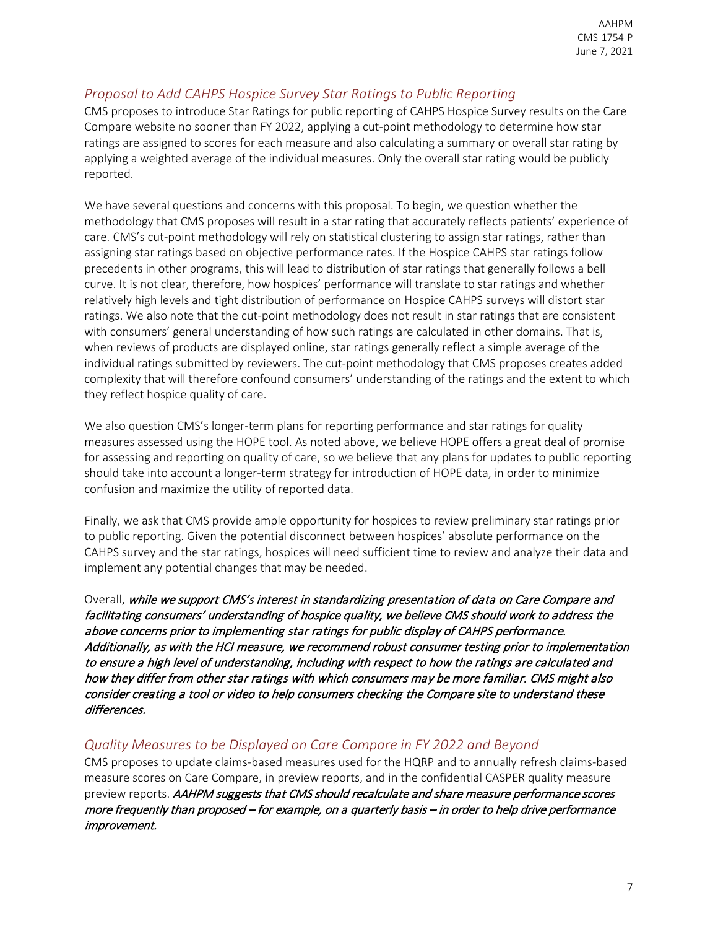#### *Proposal to Add CAHPS Hospice Survey Star Ratings to Public Reporting*

CMS proposes to introduce Star Ratings for public reporting of CAHPS Hospice Survey results on the Care Compare website no sooner than FY 2022, applying a cut-point methodology to determine how star ratings are assigned to scores for each measure and also calculating a summary or overall star rating by applying a weighted average of the individual measures. Only the overall star rating would be publicly reported.

We have several questions and concerns with this proposal. To begin, we question whether the methodology that CMS proposes will result in a star rating that accurately reflects patients' experience of care. CMS's cut-point methodology will rely on statistical clustering to assign star ratings, rather than assigning star ratings based on objective performance rates. If the Hospice CAHPS star ratings follow precedents in other programs, this will lead to distribution of star ratings that generally follows a bell curve. It is not clear, therefore, how hospices' performance will translate to star ratings and whether relatively high levels and tight distribution of performance on Hospice CAHPS surveys will distort star ratings. We also note that the cut-point methodology does not result in star ratings that are consistent with consumers' general understanding of how such ratings are calculated in other domains. That is, when reviews of products are displayed online, star ratings generally reflect a simple average of the individual ratings submitted by reviewers. The cut-point methodology that CMS proposes creates added complexity that will therefore confound consumers' understanding of the ratings and the extent to which they reflect hospice quality of care.

We also question CMS's longer-term plans for reporting performance and star ratings for quality measures assessed using the HOPE tool. As noted above, we believe HOPE offers a great deal of promise for assessing and reporting on quality of care, so we believe that any plans for updates to public reporting should take into account a longer-term strategy for introduction of HOPE data, in order to minimize confusion and maximize the utility of reported data.

Finally, we ask that CMS provide ample opportunity for hospices to review preliminary star ratings prior to public reporting. Given the potential disconnect between hospices' absolute performance on the CAHPS survey and the star ratings, hospices will need sufficient time to review and analyze their data and implement any potential changes that may be needed.

Overall, while we support CMS's interest in standardizing presentation of data on Care Compare and facilitating consumers' understanding of hospice quality, we believe CMS should work to address the above concerns prior to implementing star ratings for public display of CAHPS performance. Additionally, as with the HCI measure, we recommend robust consumer testing prior to implementation to ensure a high level of understanding, including with respect to how the ratings are calculated and how they differ from other star ratings with which consumers may be more familiar. CMS might also consider creating a tool or video to help consumers checking the Compare site to understand these differences.

#### *Quality Measures to be Displayed on Care Compare in FY 2022 and Beyond*

CMS proposes to update claims-based measures used for the HQRP and to annually refresh claims-based measure scores on Care Compare, in preview reports, and in the confidential CASPER quality measure preview reports. AAHPM suggests that CMS should recalculate and share measure performance scores more frequently than proposed – for example, on a quarterly basis – in order to help drive performance improvement.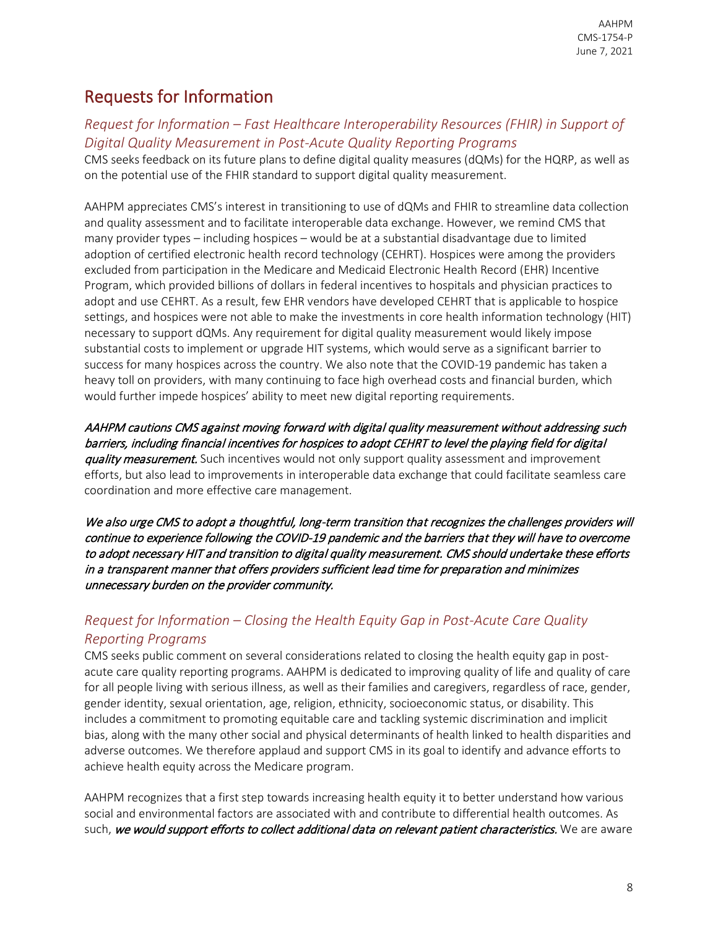# Requests for Information

### *Request for Information – Fast Healthcare Interoperability Resources (FHIR) in Support of Digital Quality Measurement in Post-Acute Quality Reporting Programs*

CMS seeks feedback on its future plans to define digital quality measures (dQMs) for the HQRP, as well as on the potential use of the FHIR standard to support digital quality measurement.

AAHPM appreciates CMS's interest in transitioning to use of dQMs and FHIR to streamline data collection and quality assessment and to facilitate interoperable data exchange. However, we remind CMS that many provider types – including hospices – would be at a substantial disadvantage due to limited adoption of certified electronic health record technology (CEHRT). Hospices were among the providers excluded from participation in the Medicare and Medicaid Electronic Health Record (EHR) Incentive Program, which provided billions of dollars in federal incentives to hospitals and physician practices to adopt and use CEHRT. As a result, few EHR vendors have developed CEHRT that is applicable to hospice settings, and hospices were not able to make the investments in core health information technology (HIT) necessary to support dQMs. Any requirement for digital quality measurement would likely impose substantial costs to implement or upgrade HIT systems, which would serve as a significant barrier to success for many hospices across the country. We also note that the COVID-19 pandemic has taken a heavy toll on providers, with many continuing to face high overhead costs and financial burden, which would further impede hospices' ability to meet new digital reporting requirements.

AAHPM cautions CMS against moving forward with digital quality measurement without addressing such barriers, including financial incentives for hospices to adopt CEHRT to level the playing field for digital quality measurement. Such incentives would not only support quality assessment and improvement efforts, but also lead to improvements in interoperable data exchange that could facilitate seamless care coordination and more effective care management.

We also urge CMS to adopt a thoughtful, long-term transition that recognizes the challenges providers will continue to experience following the COVID-19 pandemic and the barriers that they will have to overcome to adopt necessary HIT and transition to digital quality measurement. CMS should undertake these efforts in a transparent manner that offers providers sufficient lead time for preparation and minimizes unnecessary burden on the provider community.

### *Request for Information – Closing the Health Equity Gap in Post-Acute Care Quality Reporting Programs*

CMS seeks public comment on several considerations related to closing the health equity gap in postacute care quality reporting programs. AAHPM is dedicated to improving quality of life and quality of care for all people living with serious illness, as well as their families and caregivers, regardless of race, gender, gender identity, sexual orientation, age, religion, ethnicity, socioeconomic status, or disability. This includes a commitment to promoting equitable care and tackling systemic discrimination and implicit bias, along with the many other social and physical determinants of health linked to health disparities and adverse outcomes. We therefore applaud and support CMS in its goal to identify and advance efforts to achieve health equity across the Medicare program.

AAHPM recognizes that a first step towards increasing health equity it to better understand how various social and environmental factors are associated with and contribute to differential health outcomes. As such, we would support efforts to collect additional data on relevant patient characteristics. We are aware